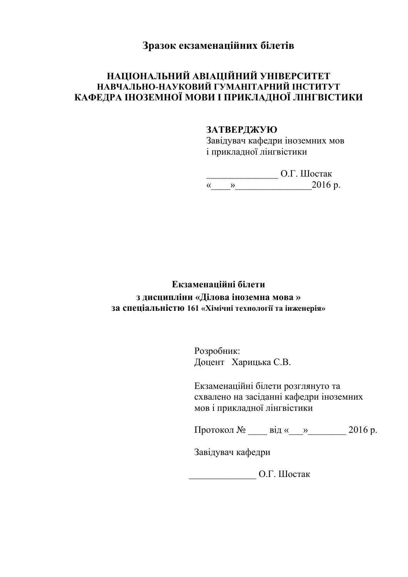# **Зразок екзаменаційних білетів**

## **НАЦІОНАЛЬНИЙ АВІАЦІЙНИЙ УНІВЕРСИТЕТ НАВЧАЛЬНО-НАУКОВИЙ ГУМАНІТАРНИЙ ІНСТИТУТ КАФЕДРА ІНОЗЕМНОЇ МОВИ І ПРИКЛАДНОЇ ЛІНГВІСТИКИ**

#### **ЗАТВЕРДЖУЮ**

Завідувач кафедри іноземних мов і прикладної лінгвістики

\_\_\_\_\_\_\_\_\_\_\_\_\_\_\_ О.Г. Шостак «\_\_\_\_»\_\_\_\_\_\_\_\_\_\_\_\_\_\_\_\_2016 р.

## **Екзаменаційні білети з дисципліни «Ділова іноземна мова » за спеціальністю 161 «Хімічні технології та інженерія»**

Розробник: Доцент Харицька С.В.

Екзаменаційні білети розглянуто та схвалено на засіданні кафедри іноземних мов і прикладної лінгвістики

Протокол № \_\_\_\_\_ від «\_\_\_»\_\_\_\_\_\_\_\_ 2016 р.

Завідувач кафедри

\_\_\_\_\_\_\_\_\_\_\_\_\_\_ О.Г. Шостак